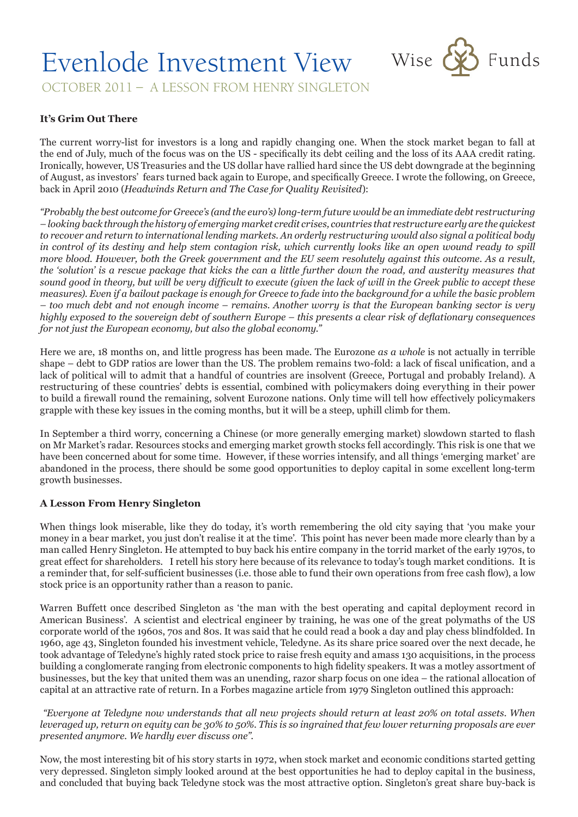# Evenlode Investment View Wise & Funds



OCTOBER 2011 – A LESSON FROM HENRY SINGLETON

## **It's Grim Out There**

The current worry-list for investors is a long and rapidly changing one. When the stock market began to fall at the end of July, much of the focus was on the US - specifically its debt ceiling and the loss of its AAA credit rating. Ironically, however, US Treasuries and the US dollar have rallied hard since the US debt downgrade at the beginning of August, as investors' fears turned back again to Europe, and specifically Greece. I wrote the following, on Greece, back in April 2010 (*Headwinds Return and The Case for Quality Revisited*):

*"Probably the best outcome for Greece's (and the euro's) long-term future would be an immediate debt restructuring – looking back through the history of emerging market credit crises, countries that restructure early are the quickest to recover and return to international lending markets. An orderly restructuring would also signal a political body in control of its destiny and help stem contagion risk, which currently looks like an open wound ready to spill more blood. However, both the Greek government and the EU seem resolutely against this outcome. As a result, the 'solution' is a rescue package that kicks the can a little further down the road, and austerity measures that sound good in theory, but will be very difficult to execute (given the lack of will in the Greek public to accept these measures). Even if a bailout package is enough for Greece to fade into the background for a while the basic problem – too much debt and not enough income – remains. Another worry is that the European banking sector is very highly exposed to the sovereign debt of southern Europe – this presents a clear risk of deflationary consequences for not just the European economy, but also the global economy."*

Here we are, 18 months on, and little progress has been made. The Eurozone *as a whole* is not actually in terrible shape – debt to GDP ratios are lower than the US. The problem remains two-fold: a lack of fiscal unification, and a lack of political will to admit that a handful of countries are insolvent (Greece, Portugal and probably Ireland). A restructuring of these countries' debts is essential, combined with policymakers doing everything in their power to build a firewall round the remaining, solvent Eurozone nations. Only time will tell how effectively policymakers grapple with these key issues in the coming months, but it will be a steep, uphill climb for them.

In September a third worry, concerning a Chinese (or more generally emerging market) slowdown started to flash on Mr Market's radar. Resources stocks and emerging market growth stocks fell accordingly. This risk is one that we have been concerned about for some time. However, if these worries intensify, and all things 'emerging market' are abandoned in the process, there should be some good opportunities to deploy capital in some excellent long-term growth businesses.

## **A Lesson From Henry Singleton**

When things look miserable, like they do today, it's worth remembering the old city saying that 'you make your money in a bear market, you just don't realise it at the time'. This point has never been made more clearly than by a man called Henry Singleton. He attempted to buy back his entire company in the torrid market of the early 1970s, to great effect for shareholders. I retell his story here because of its relevance to today's tough market conditions. It is a reminder that, for self-sufficient businesses (i.e. those able to fund their own operations from free cash flow), a low stock price is an opportunity rather than a reason to panic.

Warren Buffett once described Singleton as 'the man with the best operating and capital deployment record in American Business'. A scientist and electrical engineer by training, he was one of the great polymaths of the US corporate world of the 1960s, 70s and 80s. It was said that he could read a book a day and play chess blindfolded. In 1960, age 43, Singleton founded his investment vehicle, Teledyne. As its share price soared over the next decade, he took advantage of Teledyne's highly rated stock price to raise fresh equity and amass 130 acquisitions, in the process building a conglomerate ranging from electronic components to high fidelity speakers. It was a motley assortment of businesses, but the key that united them was an unending, razor sharp focus on one idea – the rational allocation of capital at an attractive rate of return. In a Forbes magazine article from 1979 Singleton outlined this approach:

 *"Everyone at Teledyne now understands that all new projects should return at least 20% on total assets. When leveraged up, return on equity can be 30% to 50%. This is so ingrained that few lower returning proposals are ever presented anymore. We hardly ever discuss one".*

Now, the most interesting bit of his story starts in 1972, when stock market and economic conditions started getting very depressed. Singleton simply looked around at the best opportunities he had to deploy capital in the business, and concluded that buying back Teledyne stock was the most attractive option. Singleton's great share buy-back is